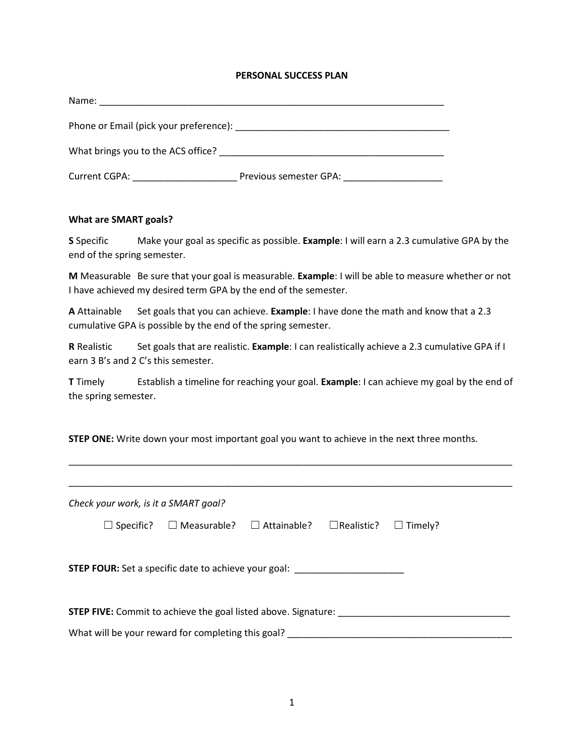## **PERSONAL SUCCESS PLAN**

| Name:                              |                        |
|------------------------------------|------------------------|
|                                    |                        |
| What brings you to the ACS office? |                        |
| Current CGPA:                      | Previous semester GPA: |

## **What are SMART goals?**

**S** Specific Make your goal as specific as possible. **Example**: I will earn a 2.3 cumulative GPA by the end of the spring semester.

**M** Measurable Be sure that your goal is measurable. **Example**: I will be able to measure whether or not I have achieved my desired term GPA by the end of the semester.

**A** Attainable Set goals that you can achieve. **Example**: I have done the math and know that a 2.3 cumulative GPA is possible by the end of the spring semester.

**R** Realistic Set goals that are realistic. **Example**: I can realistically achieve a 2.3 cumulative GPA if I earn 3 B's and 2 C's this semester.

**T** Timely Establish a timeline for reaching your goal. **Example**: I can achieve my goal by the end of the spring semester.

\_\_\_\_\_\_\_\_\_\_\_\_\_\_\_\_\_\_\_\_\_\_\_\_\_\_\_\_\_\_\_\_\_\_\_\_\_\_\_\_\_\_\_\_\_\_\_\_\_\_\_\_\_\_\_\_\_\_\_\_\_\_\_\_\_\_\_\_\_\_\_\_\_\_\_\_\_\_\_\_\_\_\_\_\_

**STEP ONE:** Write down your most important goal you want to achieve in the next three months.

| Check your work, is it a SMART goal?                                                   |                                       |  |                   |                |  |
|----------------------------------------------------------------------------------------|---------------------------------------|--|-------------------|----------------|--|
| $\Box$ Specific?                                                                       | $\Box$ Measurable? $\Box$ Attainable? |  | $\Box$ Realistic? | $\Box$ Timely? |  |
| <b>STEP FOUR:</b> Set a specific date to achieve your goal: __________________________ |                                       |  |                   |                |  |
| <b>STEP FIVE:</b> Commit to achieve the goal listed above. Signature:                  |                                       |  |                   |                |  |
| What will be your reward for completing this goal?                                     |                                       |  |                   |                |  |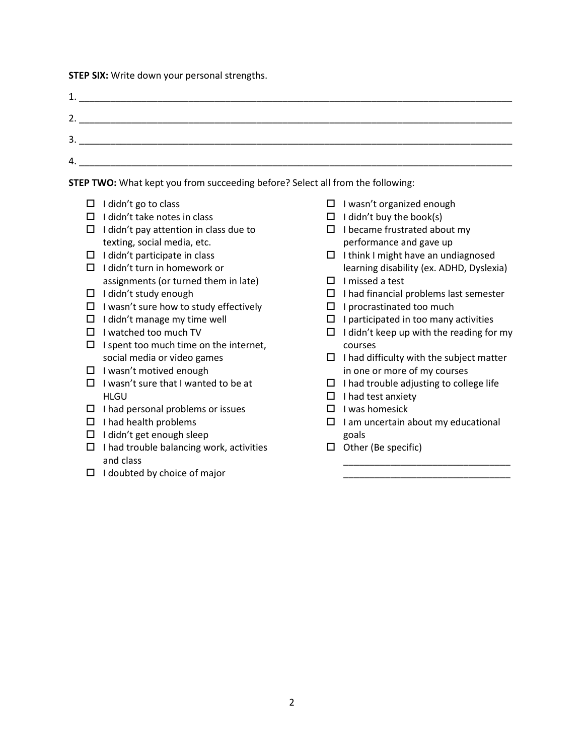**STEP SIX:** Write down your personal strengths.

| 1<br>ᅩ. |    |
|---------|----|
| 2.      |    |
|         | 3. |
| 4.      |    |
|         |    |

**STEP TWO:** What kept you from succeeding before? Select all from the following:

- $\Box$  I didn't go to class
- $\Box$  I didn't take notes in class
- $\Box$  I didn't pay attention in class due to texting, social media, etc.
- $\Box$  I didn't participate in class
- $\Box$  I didn't turn in homework or assignments (or turned them in late)
- $\Box$  I didn't study enough
- $\Box$  I wasn't sure how to study effectively
- $\Box$  I didn't manage my time well
- $\Box$  I watched too much TV
- $\Box$  I spent too much time on the internet, social media or video games
- $\Box$  I wasn't motived enough
- $\Box$  I wasn't sure that I wanted to be at **HLGU**
- $\Box$  I had personal problems or issues
- $\Box$  I had health problems
- $\Box$  I didn't get enough sleep
- $\Box$  I had trouble balancing work, activities and class
- $\Box$  I doubted by choice of major
- $\Box$  I wasn't organized enough
- $\Box$  I didn't buy the book(s)
- $\Box$  I became frustrated about my performance and gave up
- $\Box$  I think I might have an undiagnosed learning disability (ex. ADHD, Dyslexia)
- $\Box$  I missed a test
- $\Box$  I had financial problems last semester
- $\Box$  I procrastinated too much
- $\Box$  I participated in too many activities
- $\Box$  I didn't keep up with the reading for my courses
- $\Box$  I had difficulty with the subject matter in one or more of my courses
- $\Box$  I had trouble adjusting to college life
- $\Box$  I had test anxiety
- $\Box$  I was homesick
- $\Box$  I am uncertain about my educational goals

\_\_\_\_\_\_\_\_\_\_\_\_\_\_\_\_\_\_\_\_\_\_\_\_\_\_\_\_\_\_\_\_ \_\_\_\_\_\_\_\_\_\_\_\_\_\_\_\_\_\_\_\_\_\_\_\_\_\_\_\_\_\_\_\_

 $\Box$  Other (Be specific)